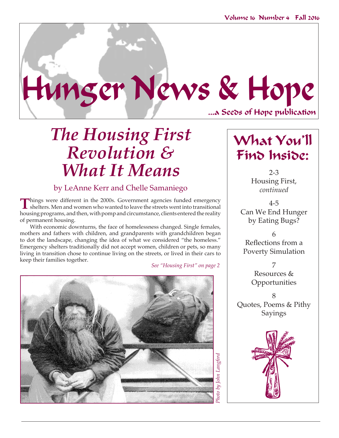

# *The Housing First Revolution & What It Means*

## by LeAnne Kerr and Chelle Samaniego

Things were different in the 2000s. Government agencies funded emergency shelters. Men and women who wanted to leave the streets went into transitional housing programs, and then, with pomp and circumstance, clients entered the reality of permanent housing.

With economic downturns, the face of homelessness changed. Single females, mothers and fathers with children, and grandparents with grandchildren began to dot the landscape, changing the idea of what we considered "the homeless." Emergency shelters traditionally did not accept women, children or pets, so many living in transition chose to continue living on the streets, or lived in their cars to keep their families together.

*See "Housing First" on page 2*



## What You'll Find Inside:

2-3 Housing First, *continued*

4-5 Can We End Hunger by Eating Bugs?

6 Reflections from a Poverty Simulation

> 7 Resources & Opportunities

8 Quotes, Poems & Pithy Sayings

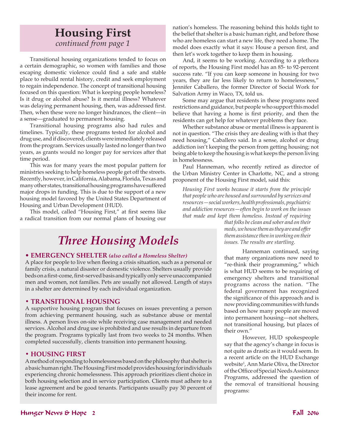## **Housing First** *continued from page 1*

Transitional housing organizations tended to focus on a certain demographic, so women with families and those escaping domestic violence could find a safe and stable place to rebuild rental history, credit and seek employment to regain independence. The concept of transitional housing focused on this question: What is keeping people homeless? Is it drug or alcohol abuse? Is it mental illness? Whatever was delaying permanent housing, then, was addressed first. Then, when these were no longer hindrances, the client—in a sense—graduated to permanent housing.

Transitional housing programs also had rules and timelines. Typically, these programs tested for alcohol and drug use, and if discovered, clients were immediately released from the program. Services usually lasted no longer than two years, as grants would no longer pay for services after that time period.

This was for many years the most popular pattern for ministries seeking to help homeless people get off the streets. Recently, however, in California, Alabama, Florida, Texas and many other states, transitional housing programs have suffered major drops in funding. This is due to the support of a new housing model favored by the United States Department of Housing and Urban Development (HUD).

This model, called "Housing First," at first seems like a radical transition from our normal plans of housing our

## *Three Housing Models*

### • **Emergency Shelter** *(also called a Homeless Shelter)*

A place for people to live when fleeing a crisis situation, such as a personal or family crisis, a natural disaster or domestic violence. Shelters usually provide beds on a first-come, first-served basis and typically only serve unaccompanied men and women, not families. Pets are usually not allowed. Length of stays in a shelter are determined by each individual organization.

### **• Transitional Housing**

A supportive housing program that focuses on issues preventing a person from achieving permanent housing, such as substance abuse or mental illness. A person lives on-site while receiving case management and needed services. Alcohol and drug use is prohibited and use results in departure from the program. Programs typically last from two weeks to 24 months. When completed successfully, clients transition into permanent housing.

### **• Housing First**

A method of responding to homelessness based on the philosophy that shelter is a basic human right. The Housing First model provides housing for individuals experiencing chronic homelessness. This approach prioritizes client choice in both housing selection and in service participation. Clients must adhere to a lease agreement and be good tenants. Participants usually pay 30 percent of their income for rent.

nation's homeless. The reasoning behind this holds tight to the belief that shelter is a basic human right, and before those who are homeless can start a new life, they need a home. The model does exactly what it says: House a person first, and then let's work together to keep them in housing.

And, it seems to be working. According to a plethora of reports, the Housing First model has an 85- to 92-percent success rate. "If you can keep someone in housing for two years, they are far less likely to return to homelessness," Jennifer Caballero, the former Director of Social Work for Salvation Army in Waco, TX, told us.

Some may argue that residents in these programs need restrictions and guidance, but people who support this model believe that having a home is first priority, and then the residents can get help for whatever problems they face.

Whether substance abuse or mental illness is apparent is not in question. "The crisis they are dealing with is that they need housing," Caballero said. In a sense, alcohol or drug addiction isn't keeping the person from getting housing; not being able to keep the housing is what keeps the person living in homelessness.

Paul Hanneman, who recently retired as director of the Urban Ministry Center in Charlotte, NC, and a strong proponent of the Housing First model, said this:

*Housing First works because it starts from the principle that people who are housed and surrounded by services and resources—social workers, health professionals, psychiatric and addiction resources—often begin to work on the issues that made and kept them homeless. Instead of requiring* 

*that folks be clean and sober and on their meds, we house them as they are and offer them assistance then in working on their issues. The results are startling.*

Hanneman continued, saying that many organizations now need to "re-think their programming," which is what HUD seems to be requiring of emergency shelters and transitional programs across the nation. "The federal government has recognized the significance of this approach and is now providing communities with funds based on how many people are moved into permanent housing—not shelters, not transitional housing, but places of their own."

However, HUD spokespeople say that the agency's change in focus is not quite as drastic as it would seem. In a recent article on the HUD Exchange website<sup>1</sup> , Ann Marie Oliva, the Director of the Office of Special Needs Assistance Programs, addressed the question of the removal of transitional housing programs: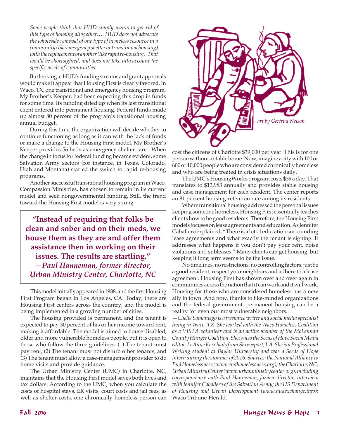*Some people think that HUD simply wants to get rid of this type of housing altogether…. HUD does not advocate the wholesale removal of one type of homeless resource in a community (like emergency shelter or transitional housing) with the replacement of another (like rapid re-housing). That would be shortsighted, and does not take into account the specific needs of communities.*

But looking at HUD's funding streams and grant approvals would make it appear that Housing First is clearly favored. In Waco, TX, one transitional and emergency housing program, My Brother's Keeper, had been expecting this drop in funds for some time. Its funding dried up when its last transitional client entered into permanent housing. Federal funds made up almost 80 percent of the program's transitional housing annual budget.

During this time, the organization will decide whether to continue functioning as long as it can with the lack of funds or make a change to the Housing First model. My Brother's Keeper provides 56 beds as emergency shelter care. When the change in focus for federal funding became evident, some Salvation Army sectors (for instance, in Texas, Colorado, Utah and Montana) started the switch to rapid re-housing programs.

Another successful transitional housing program in Waco, Compassion Ministries, has chosen to remain in its current model and seek nongovernmental funding. Still, the trend toward the Housing First model is very strong.

**"Instead of requiring that folks be clean and sober and on their meds, we house them as they are and offer them assistance then in working on their issues. The results are startling."** *—Paul Hanneman, former director, Urban Ministry Center, Charlotte, NC*

This model initially appeared in 1988, and the first Housing First Program began in Los Angeles, CA. Today, there are Housing First centers across the country, and the model is being implemented in a growing number of cities.

The housing provided is permanent, and the tenant is expected to pay 30 percent of his or her income toward rent, making it affordable. The model is aimed to house disabled, older and more vulnerable homeless people, but it is open to those who follow the three guidelines: (1) The tenant must pay rent, (2) The tenant must not disturb other tenants, and (3) The tenant must allow a case-management provider to do home visits and provide guidance.

The Urban Ministry Center (UMC) in Charlotte, NC, maintains that the Housing First model saves both lives and tax dollars. According to the UMC, when you calculate the costs of hospital stays, ER visits, court costs and jail fees, as well as shelter costs, one chronically homeless person can



cost the citizens of Charlotte \$39,000 per year. This is for one person without a stable home. Now, imagine a city with 100 or 600 or 10,000 people who are considered chronically homeless and who are being treated in crisis situations daily.

The UMC's HousingWorks program costs \$39 a day. That translates to \$13,983 annually and provides stable housing and case management for each resident. The center reports an 81 percent housing-retention rate among its residents.

Where transitional housing addressed the personal issues keeping someone homeless, Housing First essentially teaches clients how to be good residents. Therefore, the Housing First models focuses on lease agreements and education. As Jennifer Caballero explained, "There is a lot of education surrounding lease agreements and what exactly the tenant is signing. It addresses what happens if you don't pay your rent, noise violations and subleases." Many clients can get housing, but keeping it long term seems to be the issue.

No timelines, no restrictions, no controlling factors, just be a good resident, respect your neighbors and adhere to a lease agreement. Housing First has shown over and over again in communities across the nation that it can work and it will work. Housing for those who are considered homeless has a new ally in town. And now, thanks to like-minded organizations and the federal government, permanent housing can be a reality for even our most vulnerable neighbors.

*—Chelle Samaniego is a freelance writer and social media specialist living in Waco, TX. She worked with the Waco Homeless Coalition as a VISTA volunteer and is an active member of the McLennan County Hunger Coalition. She is also the Seeds of Hope Social Media editor. LeAnne Kerr hails from Shreveport, LA. She is a Professional Writing student at Baylor University and was a Seeds of Hope intern during the summer of 2016. Sources: the National Alliance to End Homelessness (www.endhomelessness.org); the Charlotte, NC, Urban Ministry Center (www.urbanministrycenter.org), including correspondence with Paul Hanneman, former director; interview with Jennifer Caballero of the Salvation Army; the US Department of Housing and Urban Development (www.hudexchange.info);*  Waco Tribune-Herald.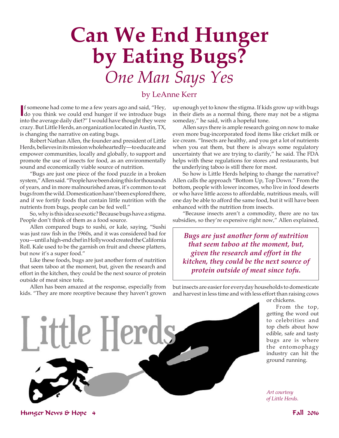# **Can We End Hunger by Eating Bugs?** *One Man Says Yes*

### by LeAnne Kerr

If someone had come to me a few years ago and said, "Hey, do you think we could end hunger if we introduce bugs f someone had come to me a few years ago and said, "Hey, into the average daily diet?" I would have thought they were crazy. But Little Herds, an organization located in Austin, TX, is changing the narrative on eating bugs.

Robert Nathan Allen, the founder and president of Little Herds, believes in its mission wholeheartedly—to educate and empower communities, locally and globally, to support and promote the use of insects for food, as an environmentally sound and economically viable source of nutrition.

"Bugs are just one piece of the food puzzle in a broken system," Allen said. "People have been doing this for thousands of years, and in more malnourished areas, it's common to eat bugs from the wild. Domestication hasn't been explored there, and if we fortify foods that contain little nutrition with the nutrients from bugs, people can be fed well."

So, why is this idea so exotic? Because bugs have a stigma. People don't think of them as a food source.

Allen compared bugs to sushi, or kale, saying, "Sushi was just raw fish in the 1960s, and it was considered bad for you—until a high-end chef in Hollywood created the California Roll. Kale used to be the garnish on fruit and cheese platters, but now it's a super food."

Like these foods, bugs are just another form of nutrition that seem taboo at the moment, but, given the research and effort in the kitchen, they could be the next source of protein outside of meat since tofu.

Allen has been amazed at the response, especially from kids. "They are more receptive because they haven't grown

up enough yet to know the stigma. If kids grow up with bugs in their diets as a normal thing, there may not be a stigma someday," he said, with a hopeful tone.

Allen says there is ample research going on now to make even more bug-incorporated food items like cricket milk or ice cream. "Insects are healthy, and you get a lot of nutrients when you eat them, but there is always some regulatory uncertainty that we are trying to clarify," he said. The FDA helps with these regulations for stores and restaurants, but the underlying taboo is still there for most.

So how is Little Herds helping to change the narrative? Allen calls the approach "Bottom Up, Top Down." From the bottom, people with lower incomes, who live in food deserts or who have little access to affordable, nutritious meals, will one day be able to afford the same food, but it will have been enhanced with the nutrition from insects.

"Because insects aren't a commodity, there are no tax subsidies, so they're expensive right now," Allen explained,

*Bugs are just another form of nutrition that seem taboo at the moment, but, given the research and effort in the kitchen, they could be the next source of protein outside of meat since tofu.*

but insects are easier for everyday households to domesticate and harvest in less time and with less effort than raising cows



or chickens.

From the top, getting the word out to celebrities and top chefs about how edible, safe and tasty bugs are is where the entomophagy industry can hit the ground running.

*Art courtesy of Little Herds.*

Hunger News & Hope 4 Fall 2016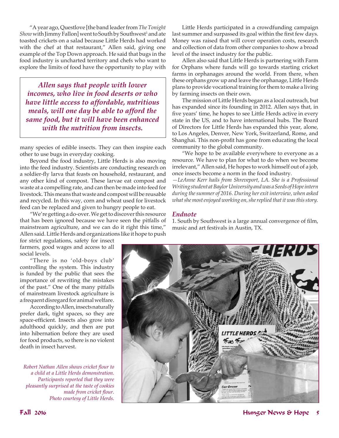"A year ago, Questlove [the band leader from *The Tonight Show* with Jimmy Fallon] went to South by Southwest<sup>1</sup> and ate toasted crickets on a salad because Little Herds had worked with the chef at that restaurant," Allen said, giving one example of the Top Down approach. He said that bugs in the food industry is uncharted territory and chefs who want to explore the limits of food have the opportunity to play with

*Allen says that people with lower incomes, who live in food deserts or who have little access to affordable, nutritious meals, will one day be able to afford the same food, but it will have been enhanced with the nutrition from insects.* 

many species of edible insects. They can then inspire each other to use bugs in everyday cooking.

Beyond the food industry, Little Herds is also moving into the feed industry. Scientists are conducting research on a soldier-fly larva that feasts on household, restaurant, and any other kind of compost. These larvae eat compost and waste at a compelling rate, and can then be made into feed for livestock. This means that waste and compost will be reusable and recycled. In this way, corn and wheat used for livestock feed can be replaced and given to hungry people to eat.

"We're getting a do-over. We get to discover this resource that has been ignored because we have seen the pitfalls of mainstream agriculture, and we can do it right this time," Allen said. Little Herds and organizations like it hope to push

for strict regulations, safety for insect farmers, good wages and access to all social levels.

"There is no 'old-boys club' controlling the system. This industry is funded by the public that sees the importance of rewriting the mistakes of the past." One of the many pitfalls of mainstream livestock agriculture is a frequent disregard for animal welfare.

According to Allen, insects naturally prefer dark, tight spaces, so they are space-efficient. Insects also grow into adulthood quickly, and then are put into hibernation before they are used for food products, so there is no violent death in insect harvest.

*Robert Nathan Allen shows cricket flour to a child at a Little Herds demonstration. Participants reported that they were pleasantly surprised at the taste of cookies made from cricket flour. Photo courtesy of Little Herds.*

Little Herds participated in a crowdfunding campaign last summer and surpassed its goal within the first few days. Money was raised that will cover operation costs, research and collection of data from other companies to show a broad level of the insect industry for the public.

Allen also said that Little Herds is partnering with Farm for Orphans where funds will go towards starting cricket farms in orphanages around the world. From there, when these orphans grow up and leave the orphanage, Little Herds plans to provide vocational training for them to make a living by farming insects on their own.

The mission of Little Herds began as a local outreach, but has expanded since its founding in 2012. Allen says that, in five years' time, he hopes to see Little Herds active in every state in the US, and to have international hubs. The Board of Directors for Little Herds has expanded this year, alone, to Los Angeles, Denver, New York, Switzerland, Rome, and Shanghai. This non-profit has gone from educating the local community to the global community.

"We hope to be available everywhere to everyone as a resource. We have to plan for what to do when we become irrelevant," Allen said, He hopes to work himself out of a job, once insects become a norm in the food industry.

*—LeAnne Kerr hails from Shreveport, LA. She is a Professional Writing student at Baylor University and was a Seeds of Hope intern during the summer of 2016. During her exit interview, when asked what she most enjoyed working on, she replied that it was this story.*

#### *Endnote*

1. South by Southwest is a large annual convergence of film, music and art festivals in Austin, TX.

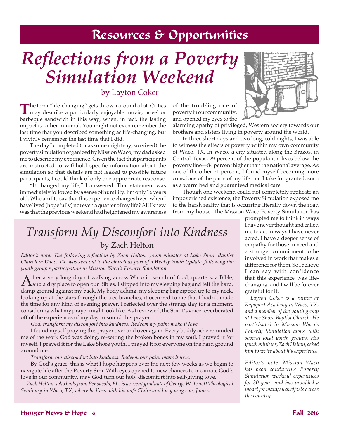## Resources & Opportunities

# *Reflections from a Poverty Simulation Weekend*

## by Layton Coker

The term "life-changing" gets thrown around a lot. Critics may describe a particularly enjoyable movie, novel or barbeque sandwich in this way, when, in fact, the lasting impact is rather minimal. You might not even remember the last time that you described something as life-changing, but I vividly remember the last time that I did.

The day I completed (or as some might say, survived) the poverty simulation organized by Mission Waco, my dad asked me to describe my experience. Given the fact that participants are instructed to withhold specific information about the simulation so that details are not leaked to possible future participants, I could think of only one appropriate response.

"It changed my life," I answered. That statement was immediately followed by a sense of humility. I'm only 16 years old. Who am I to say that this experience changes lives, when I have lived (hopefully) not even a quarter of my life? All I knew was that the previous weekend had heightened my awareness

of the troubling rate of poverty in our community, and opened my eyes to the



alarming apathy of privileged, Western society towards our brothers and sisters living in poverty around the world.

In three short days and two long, cold nights, I was able to witness the effects of poverty within my own community of Waco, TX. In Waco, a city situated along the Brazos, in Central Texas, 29 percent of the population lives below the poverty line—84 percent higher than the national average. As one of the other 71 percent, I found myself becoming more conscious of the parts of my life that I take for granted, such as a warm bed and guaranteed medical care.

Though one weekend could not completely replicate an impoverished existence, the Poverty Simulation exposed me to the harsh reality that is occurring literally down the road from my house. The Mission Waco Poverty Simulation has

## *Transform My Discomfort into Kindness* by Zach Helton

*Editor's note: The following reflection by Zach Helton, youth minister at Lake Shore Baptist Church in Waco, TX, was sent out to the church as part of a Weekly Youth Update, following the youth group's participation in Mission Waco's Poverty Simulation.*

After a very long day of walking across Waco in search of food, quarters, a Bible, and a dry place to open our Bibles, I slipped into my sleeping bag and felt the hard, damp ground against my back. My body aching, my sleeping bag zipped up to my neck, looking up at the stars through the tree branches, it occurred to me that I hadn't made the time for any kind of evening prayer. I reflected over the strange day for a moment, considering what my prayer might look like. As I reviewed, the Spirit's voice reverberated off of the experiences of my day to sound this prayer:

*God, transform my discomfort into kindness. Redeem my pain; make it love.*

I found myself praying this prayer over and over again. Every bodily ache reminded me of the work God was doing, re-setting the broken bones in my soul. I prayed it for myself. I prayed it for the Lake Shore youth. I prayed it for everyone on the hard ground around me.

*Transform our discomfort into kindness. Redeem our pain; make it love.*

By God's grace, this is what I hope happens over the next few weeks as we begin to navigate life after the Poverty Sim. With eyes opened to new chances to incarnate God's love in our community, may God turn our holy discomfort into self-giving love.

*—Zach Helton, who hails from Pensacola, FL, is a recent graduate of George W. Truett Theological Seminary in Waco, TX, where he lives with his wife Claire and his young son, James.*

prompted me to think in ways I have never thought and called me to act in ways I have never acted. I have a deeper sense of empathy for those in need and a stronger commitment to be involved in work that makes a difference for them. So I believe I can say with confidence that this experience was lifechanging, and I will be forever grateful for it.

*—Layton Coker is a junior at Rapoport Academy in Waco, TX, and a member of the youth group at Lake Shore Baptist Church. He participated in Mission Waco's Poverty Simulation along with several local youth groups. His youth minister, Zach Helton, asked him to write about his experience.* 

*Editor's note: Mission Waco has been conducting Poverty Simulation weekend experiences for 30 years and has provided a model for many such efforts across the country.*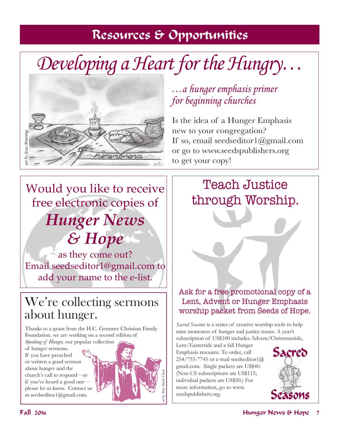## Resources & Opportunities

# *Developing a Heart for the Hungry…*



*…a hunger emphasis primer for beginning churches*

Is the idea of a Hunger Emphasis new to your congregation? If so, email seedseditor $1$ @gmail.com or go to www.seedspublishers.org to get your copy!

## Would you like to receive free electronic copies of *Hunger News & Hope*

as they come out? Email seedseditor1@gmail.com to add your name to the e-list.

## We're collecting sermons about hunger.

Thanks to a grant from the H.C. Gemmer Christian Family Foundation, we are working on a second edition of *Speaking of Hunger,* our popular collection

of hunger sermons. If you have preached or written a good sermon about hunger and the church's call to respond—or if you've heard a good one please let us know. Contact us at seedseditor1@gmail.com.

## Teach Justice through Worship.

Ask for a free promotional copy of a Lent, Advent or Hunger Emphasis worship packet from Seeds of Hope.

*Sacred Seasons* is a series of creative worship tools to help raise awareness of hunger and justice issues. A year's subscription of US\$100 includes Advent/Christmastide,

Lent/Eastertide and a fall Hunger Emphasis resource. To order, call 254/755-7745 or e-mail seedseditor1@ gmail.com. Single packets are US\$40. (Non-US subscriptions are US\$115; individual packets are US\$50.) For more information, go to www. seedspublishers.org.

*art by Peter Yuichi Clark*